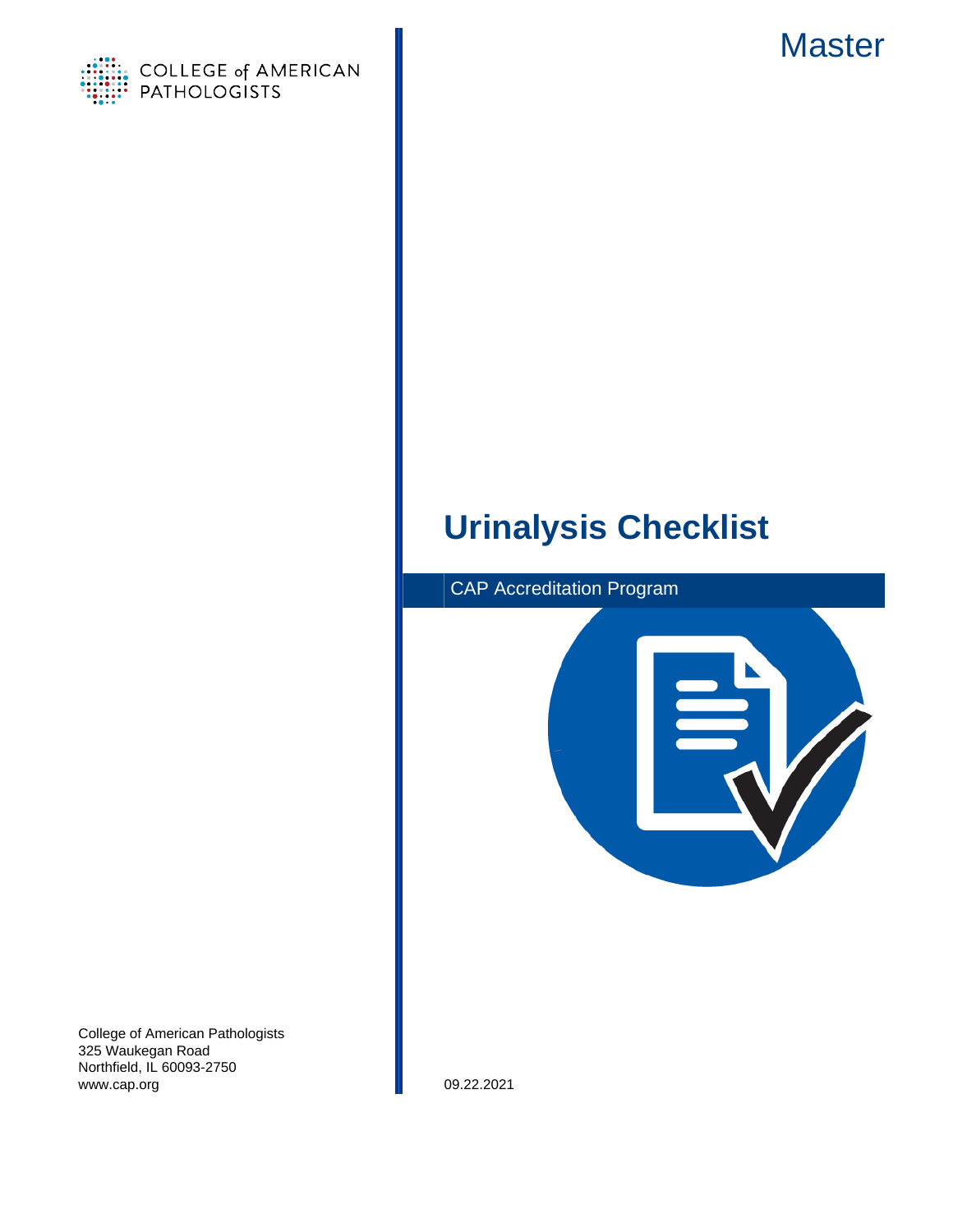

# **Master**

# **Urinalysis Checklist**



College of American Pathologists 325 Waukegan Road Northfield, IL 60093-2750 www.cap.org 09.22.2021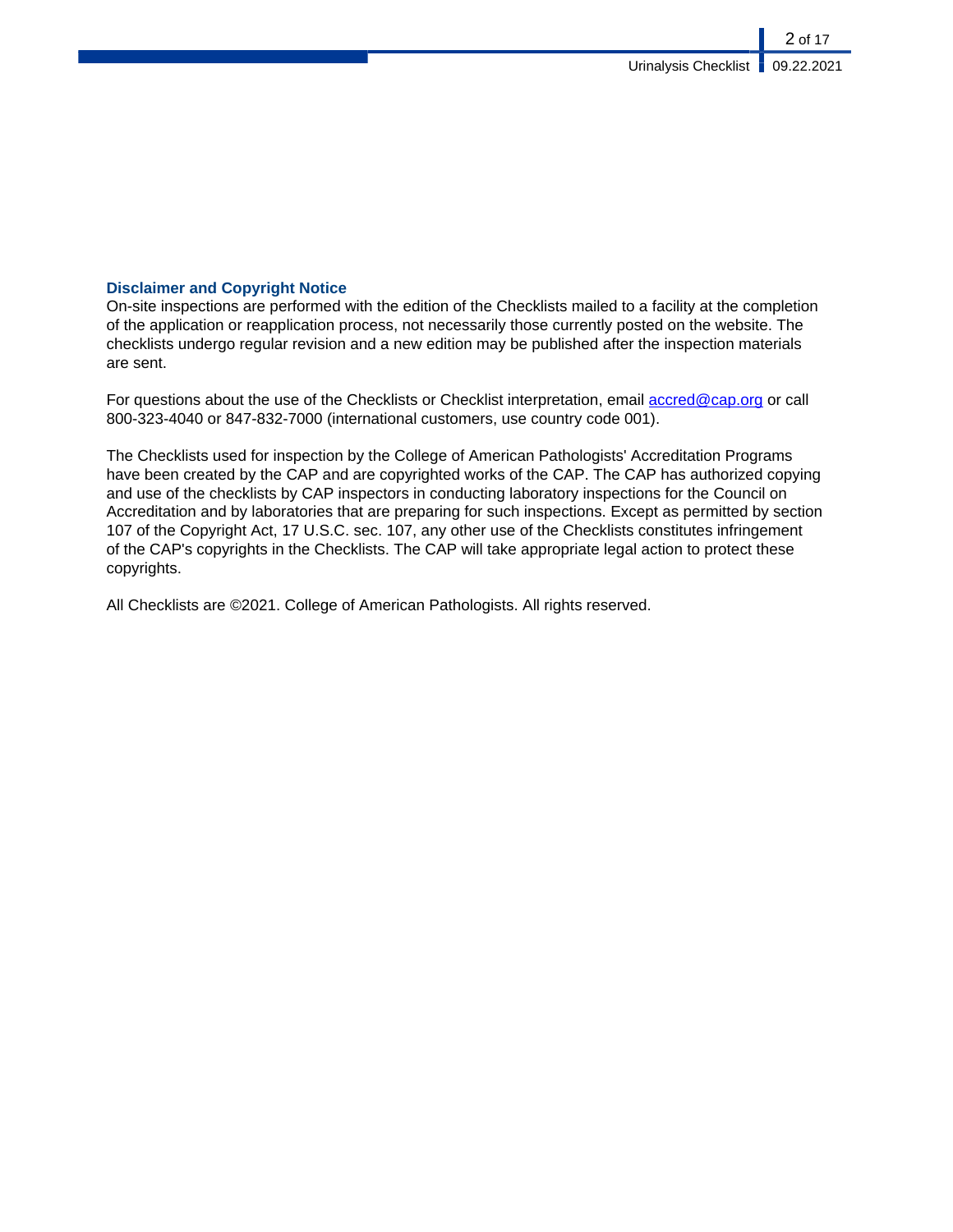### **Disclaimer and Copyright Notice**

On-site inspections are performed with the edition of the Checklists mailed to a facility at the completion of the application or reapplication process, not necessarily those currently posted on the website. The checklists undergo regular revision and a new edition may be published after the inspection materials are sent.

For questions about the use of the Checklists or Checklist interpretation, email [accred@cap.org](mailto:accred@cap.org) or call 800-323-4040 or 847-832-7000 (international customers, use country code 001).

The Checklists used for inspection by the College of American Pathologists' Accreditation Programs have been created by the CAP and are copyrighted works of the CAP. The CAP has authorized copying and use of the checklists by CAP inspectors in conducting laboratory inspections for the Council on Accreditation and by laboratories that are preparing for such inspections. Except as permitted by section 107 of the Copyright Act, 17 U.S.C. sec. 107, any other use of the Checklists constitutes infringement of the CAP's copyrights in the Checklists. The CAP will take appropriate legal action to protect these copyrights.

All Checklists are ©2021. College of American Pathologists. All rights reserved.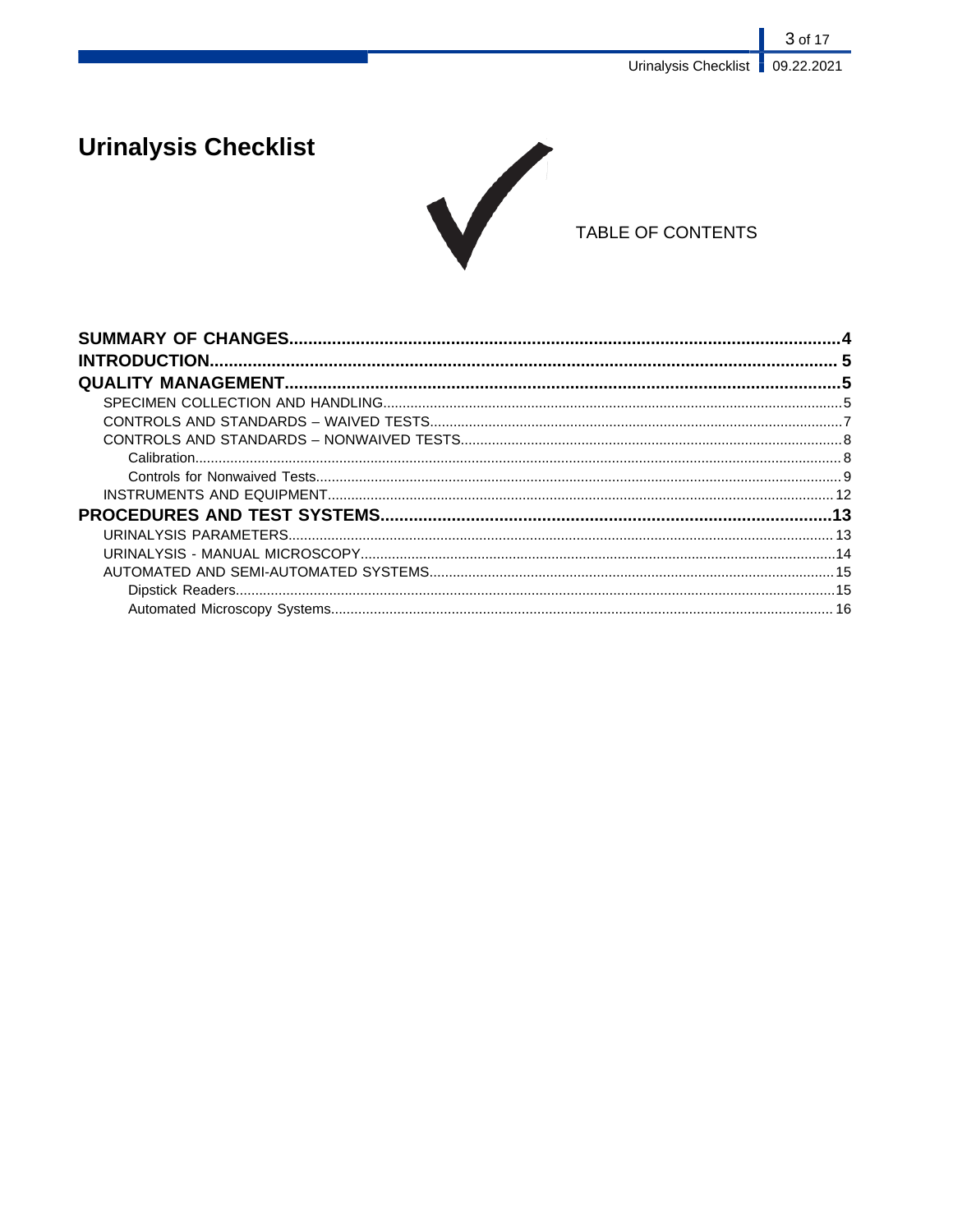3 of 17 Urinalysis Checklist | 09.22.2021

# **Urinalysis Checklist**



## TABLE OF CONTENTS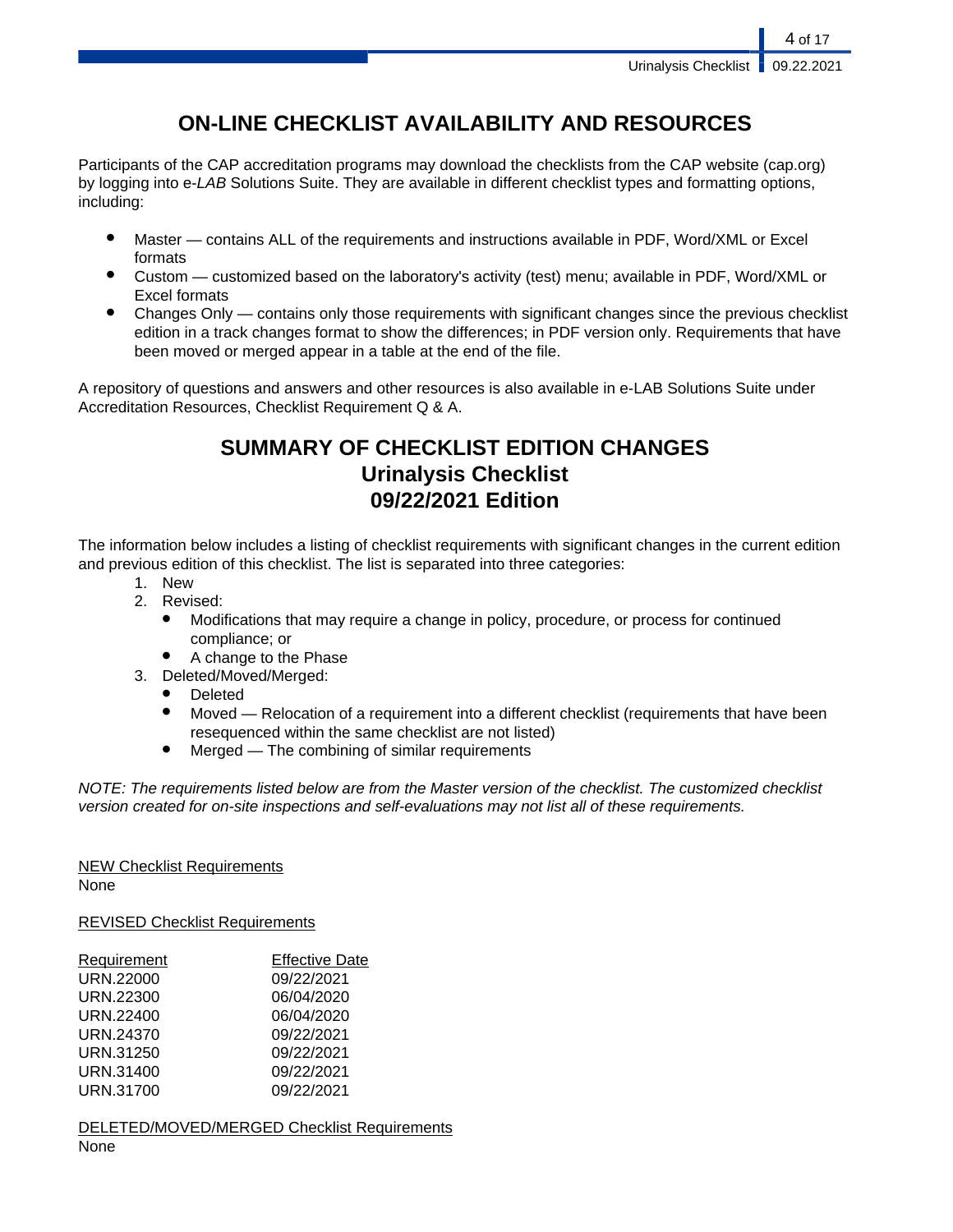## **ON-LINE CHECKLIST AVAILABILITY AND RESOURCES**

Participants of the CAP accreditation programs may download the checklists from the CAP website (cap.org) by logging into e-LAB Solutions Suite. They are available in different checklist types and formatting options, including:

- Master contains ALL of the requirements and instructions available in PDF, Word/XML or Excel formats
- Custom customized based on the laboratory's activity (test) menu; available in PDF, Word/XML or Excel formats
- Changes Only contains only those requirements with significant changes since the previous checklist edition in a track changes format to show the differences; in PDF version only. Requirements that have been moved or merged appear in a table at the end of the file.

A repository of questions and answers and other resources is also available in e-LAB Solutions Suite under Accreditation Resources, Checklist Requirement Q & A.

## **SUMMARY OF CHECKLIST EDITION CHANGES Urinalysis Checklist 09/22/2021 Edition**

The information below includes a listing of checklist requirements with significant changes in the current edition and previous edition of this checklist. The list is separated into three categories:

- 1. New
- 2. Revised:
	- Modifications that may require a change in policy, procedure, or process for continued compliance; or
	- A change to the Phase
- 3. Deleted/Moved/Merged:
	- **Deleted**
	- Moved Relocation of a requirement into a different checklist (requirements that have been resequenced within the same checklist are not listed)
	- $Mered$  The combining of similar requirements

NOTE: The requirements listed below are from the Master version of the checklist. The customized checklist version created for on-site inspections and self-evaluations may not list all of these requirements.

## NEW Checklist Requirements

None

REVISED Checklist Requirements

| Requirement | <b>Effective Date</b> |
|-------------|-----------------------|
| URN.22000   | 09/22/2021            |
| URN.22300   | 06/04/2020            |
| URN.22400   | 06/04/2020            |
| URN.24370   | 09/22/2021            |
| URN.31250   | 09/22/2021            |
| URN.31400   | 09/22/2021            |
| URN.31700   | 09/22/2021            |

DELETED/MOVED/MERGED Checklist Requirements None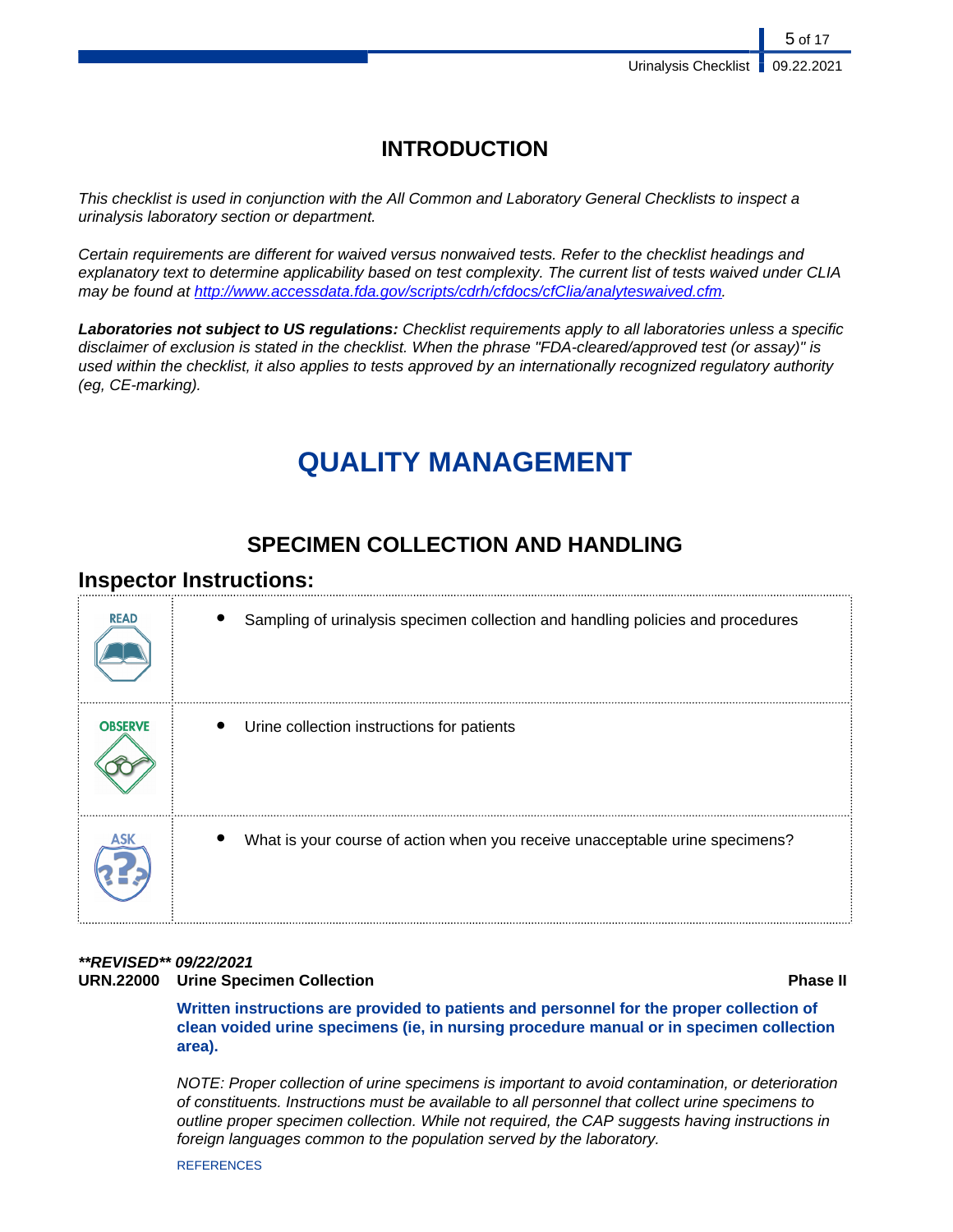## **INTRODUCTION**

This checklist is used in conjunction with the All Common and Laboratory General Checklists to inspect a urinalysis laboratory section or department.

Certain requirements are different for waived versus nonwaived tests. Refer to the checklist headings and explanatory text to determine applicability based on test complexity. The current list of tests waived under CLIA may be found at [http://www.accessdata.fda.gov/scripts/cdrh/cfdocs/cfClia/analyteswaived.cfm.](http://www.accessdata.fda.gov/scripts/cdrh/cfdocs/cfClia/analyteswaived.cfm)

**Laboratories not subject to US regulations:** Checklist requirements apply to all laboratories unless a specific disclaimer of exclusion is stated in the checklist. When the phrase "FDA-cleared/approved test (or assay)" is used within the checklist, it also applies to tests approved by an internationally recognized regulatory authority (eg, CE-marking).

# **QUALITY MANAGEMENT**

## **SPECIMEN COLLECTION AND HANDLING**

## **Inspector Instructions:**

| <b>READ</b>    | Sampling of urinalysis specimen collection and handling policies and procedures |
|----------------|---------------------------------------------------------------------------------|
| <b>OBSERVE</b> | Urine collection instructions for patients                                      |
|                | What is your course of action when you receive unacceptable urine specimens?    |

## **\*\*REVISED\*\* 09/22/2021**

### **URN.22000 Urine Specimen Collection Phase II**

**Written instructions are provided to patients and personnel for the proper collection of clean voided urine specimens (ie, in nursing procedure manual or in specimen collection area).**

NOTE: Proper collection of urine specimens is important to avoid contamination, or deterioration of constituents. Instructions must be available to all personnel that collect urine specimens to outline proper specimen collection. While not required, the CAP suggests having instructions in foreign languages common to the population served by the laboratory.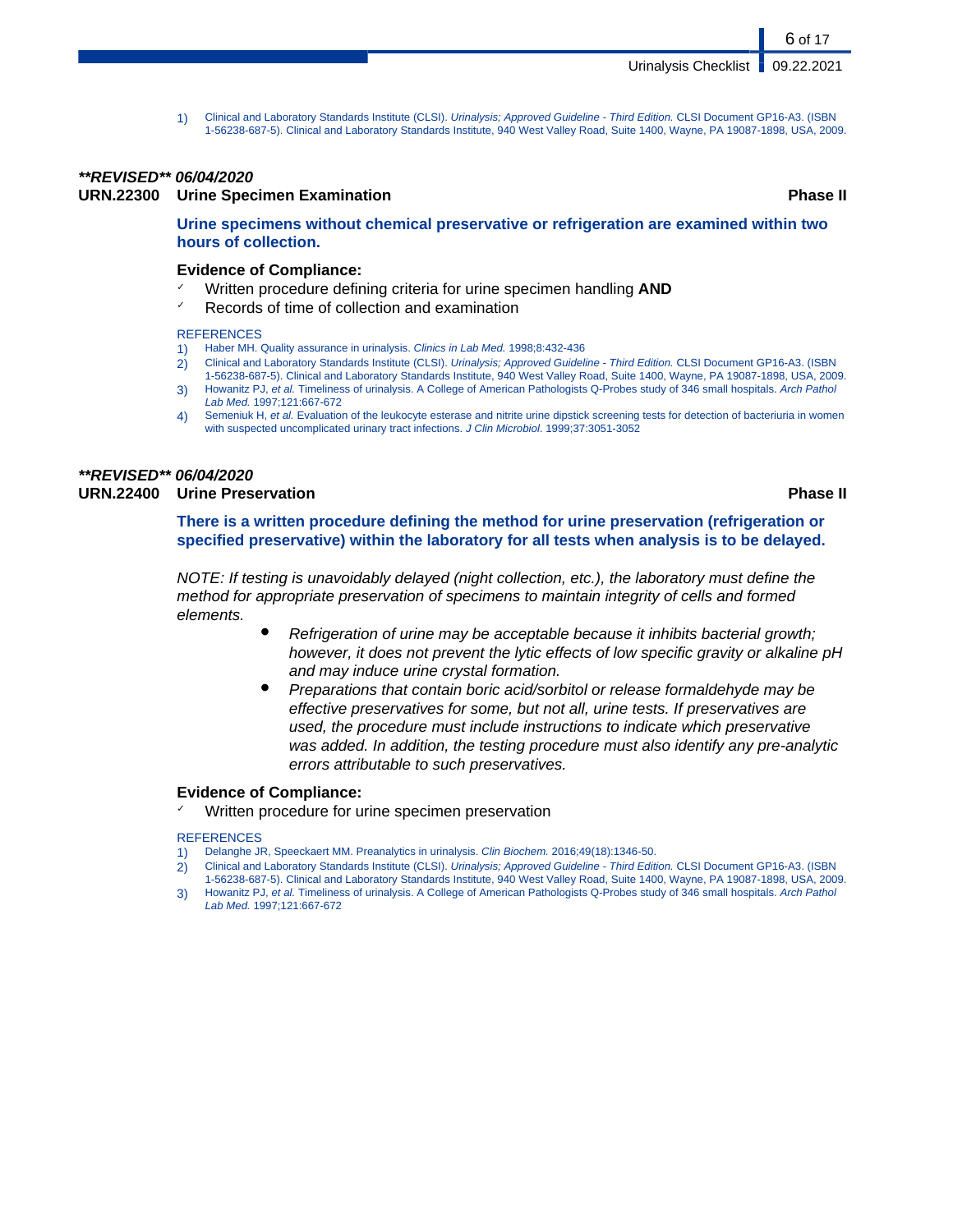1) Clinical and Laboratory Standards Institute (CLSI). Urinalysis; Approved Guideline - Third Edition. CLSI Document GP16-A3. (ISBN 1-56238-687-5). Clinical and Laboratory Standards Institute, 940 West Valley Road, Suite 1400, Wayne, PA 19087-1898, USA, 2009.

#### **\*\*REVISED\*\* 06/04/2020**

**URN.22300 Urine Specimen Examination Phase II**

6 of 17

#### **Urine specimens without chemical preservative or refrigeration are examined within two hours of collection.**

#### **Evidence of Compliance:**

- Written procedure defining criteria for urine specimen handling **AND**
- ✓ Records of time of collection and examination

#### **REFERENCES**

- 1) Haber MH. Quality assurance in urinalysis. Clinics in Lab Med. 1998;8:432-436
- 2) Clinical and Laboratory Standards Institute (CLSI). Urinalysis; Approved Guideline Third Edition. CLSI Document GP16-A3. (ISBN 1-56238-687-5). Clinical and Laboratory Standards Institute, 940 West Valley Road, Suite 1400, Wayne, PA 19087-1898, USA, 2009.
- 3) Howanitz PJ, et al. Timeliness of urinalysis. A College of American Pathologists Q-Probes study of 346 small hospitals. Arch Pathol Lab Med. 1997;121:667-672
- 4) Semeniuk H, et al. Evaluation of the leukocyte esterase and nitrite urine dipstick screening tests for detection of bacteriuria in women with suspected uncomplicated urinary tract infections. J Clin Microbiol. 1999;37:3051-3052

#### **\*\*REVISED\*\* 06/04/2020 URN.22400 Urine Preservation Phase II**

**There is a written procedure defining the method for urine preservation (refrigeration or specified preservative) within the laboratory for all tests when analysis is to be delayed.**

NOTE: If testing is unavoidably delayed (night collection, etc.), the laboratory must define the method for appropriate preservation of specimens to maintain integrity of cells and formed elements.

- Refrigeration of urine may be acceptable because it inhibits bacterial growth; however, it does not prevent the lytic effects of low specific gravity or alkaline pH and may induce urine crystal formation.
- Preparations that contain boric acid/sorbitol or release formaldehyde may be effective preservatives for some, but not all, urine tests. If preservatives are used, the procedure must include instructions to indicate which preservative was added. In addition, the testing procedure must also identify any pre-analytic errors attributable to such preservatives.

#### **Evidence of Compliance:**

Written procedure for urine specimen preservation

- Delanghe JR, Speeckaert MM. Preanalytics in urinalysis. Clin Biochem. 2016;49(18):1346-50.
- 2) Clinical and Laboratory Standards Institute (CLSI). Urinalysis; Approved Guideline Third Edition. CLSI Document GP16-A3. (ISBN 1-56238-687-5). Clinical and Laboratory Standards Institute, 940 West Valley Road, Suite 1400, Wayne, PA 19087-1898, USA, 2009.
- 3) Howanitz PJ, et al. Timeliness of urinalysis. A College of American Pathologists Q-Probes study of 346 small hospitals. Arch Pathol Lab Med. 1997;121:667-672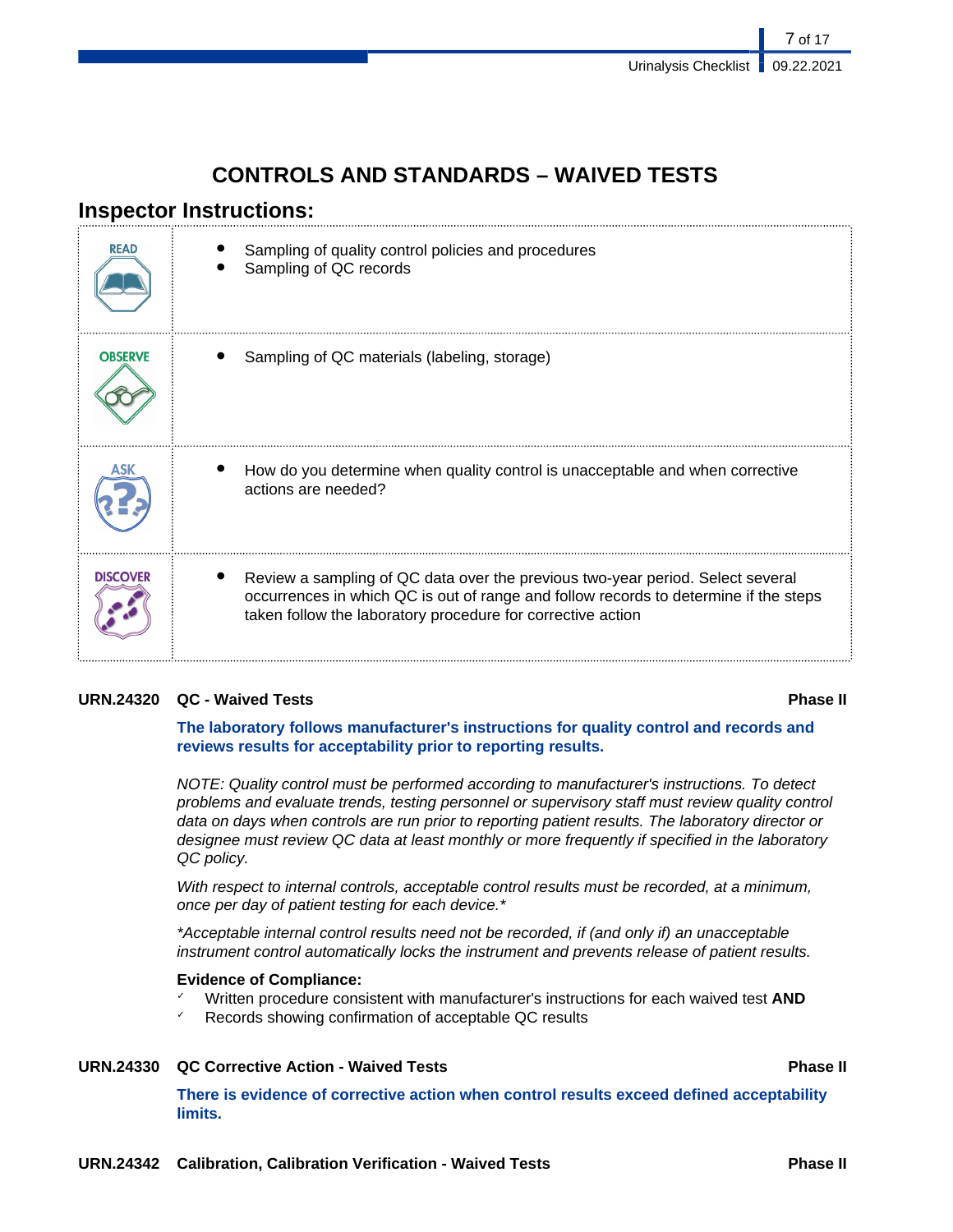## **CONTROLS AND STANDARDS – WAIVED TESTS**

## **Inspector Instructions:**

| <b>READ</b>     | Sampling of quality control policies and procedures<br>Sampling of QC records                                                                                                                                                         |
|-----------------|---------------------------------------------------------------------------------------------------------------------------------------------------------------------------------------------------------------------------------------|
| <b>OBSERVE</b>  | Sampling of QC materials (labeling, storage)                                                                                                                                                                                          |
| ASK             | How do you determine when quality control is unacceptable and when corrective<br>actions are needed?                                                                                                                                  |
| <b>DISCOVER</b> | Review a sampling of QC data over the previous two-year period. Select several<br>occurrences in which QC is out of range and follow records to determine if the steps<br>taken follow the laboratory procedure for corrective action |

### **URN.24320 QC - Waived Tests Phase II**

**The laboratory follows manufacturer's instructions for quality control and records and reviews results for acceptability prior to reporting results.**

NOTE: Quality control must be performed according to manufacturer's instructions. To detect problems and evaluate trends, testing personnel or supervisory staff must review quality control data on days when controls are run prior to reporting patient results. The laboratory director or designee must review QC data at least monthly or more frequently if specified in the laboratory QC policy.

With respect to internal controls, acceptable control results must be recorded, at a minimum, once per day of patient testing for each device.\*

\*Acceptable internal control results need not be recorded, if (and only if) an unacceptable instrument control automatically locks the instrument and prevents release of patient results.

### **Evidence of Compliance:**

- ✓ Written procedure consistent with manufacturer's instructions for each waived test **AND**
- Records showing confirmation of acceptable QC results

### **URN.24330 QC Corrective Action - Waived Tests Phase II**

**There is evidence of corrective action when control results exceed defined acceptability limits.**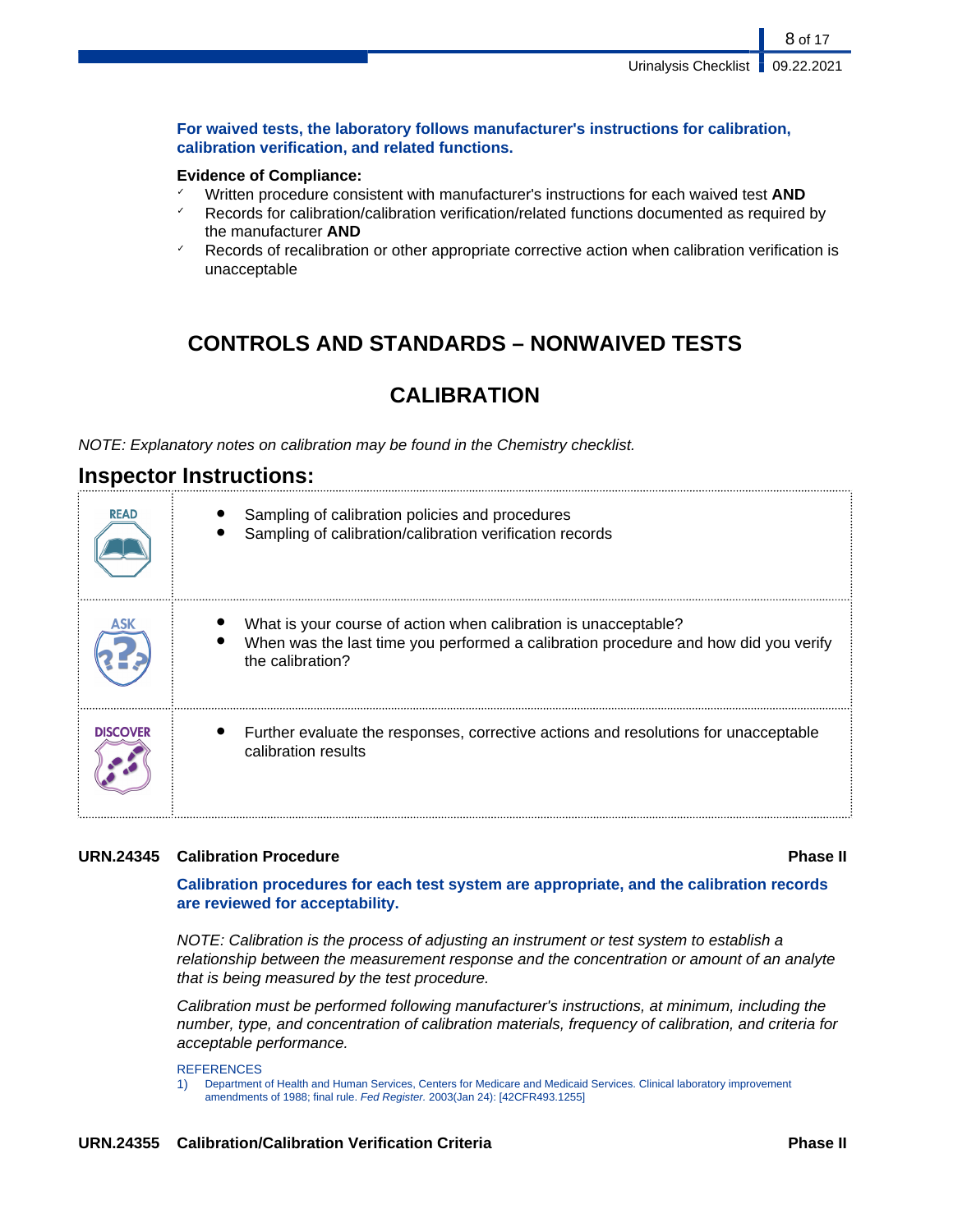8 of 17

**For waived tests, the laboratory follows manufacturer's instructions for calibration, calibration verification, and related functions.**

#### **Evidence of Compliance:**

- ✓ Written procedure consistent with manufacturer's instructions for each waived test **AND**
- Records for calibration/calibration verification/related functions documented as required by the manufacturer **AND**
- Records of recalibration or other appropriate corrective action when calibration verification is unacceptable

## **CONTROLS AND STANDARDS – NONWAIVED TESTS**

## **CALIBRATION**

NOTE: Explanatory notes on calibration may be found in the Chemistry checklist.

## **Inspector Instructions:**

| <b>READ</b>     | Sampling of calibration policies and procedures<br>Sampling of calibration/calibration verification records                                                                |
|-----------------|----------------------------------------------------------------------------------------------------------------------------------------------------------------------------|
|                 | What is your course of action when calibration is unacceptable?<br>When was the last time you performed a calibration procedure and how did you verify<br>the calibration? |
| <b>DISCOVER</b> | Further evaluate the responses, corrective actions and resolutions for unacceptable<br>calibration results                                                                 |

### **URN.24345 Calibration Procedure Phase II**

**Calibration procedures for each test system are appropriate, and the calibration records are reviewed for acceptability.**

NOTE: Calibration is the process of adjusting an instrument or test system to establish a relationship between the measurement response and the concentration or amount of an analyte that is being measured by the test procedure.

Calibration must be performed following manufacturer's instructions, at minimum, including the number, type, and concentration of calibration materials, frequency of calibration, and criteria for acceptable performance.

#### **REFERENCES**

1) Department of Health and Human Services, Centers for Medicare and Medicaid Services. Clinical laboratory improvement amendments of 1988; final rule. Fed Register. 2003(Jan 24): [42CFR493.1255]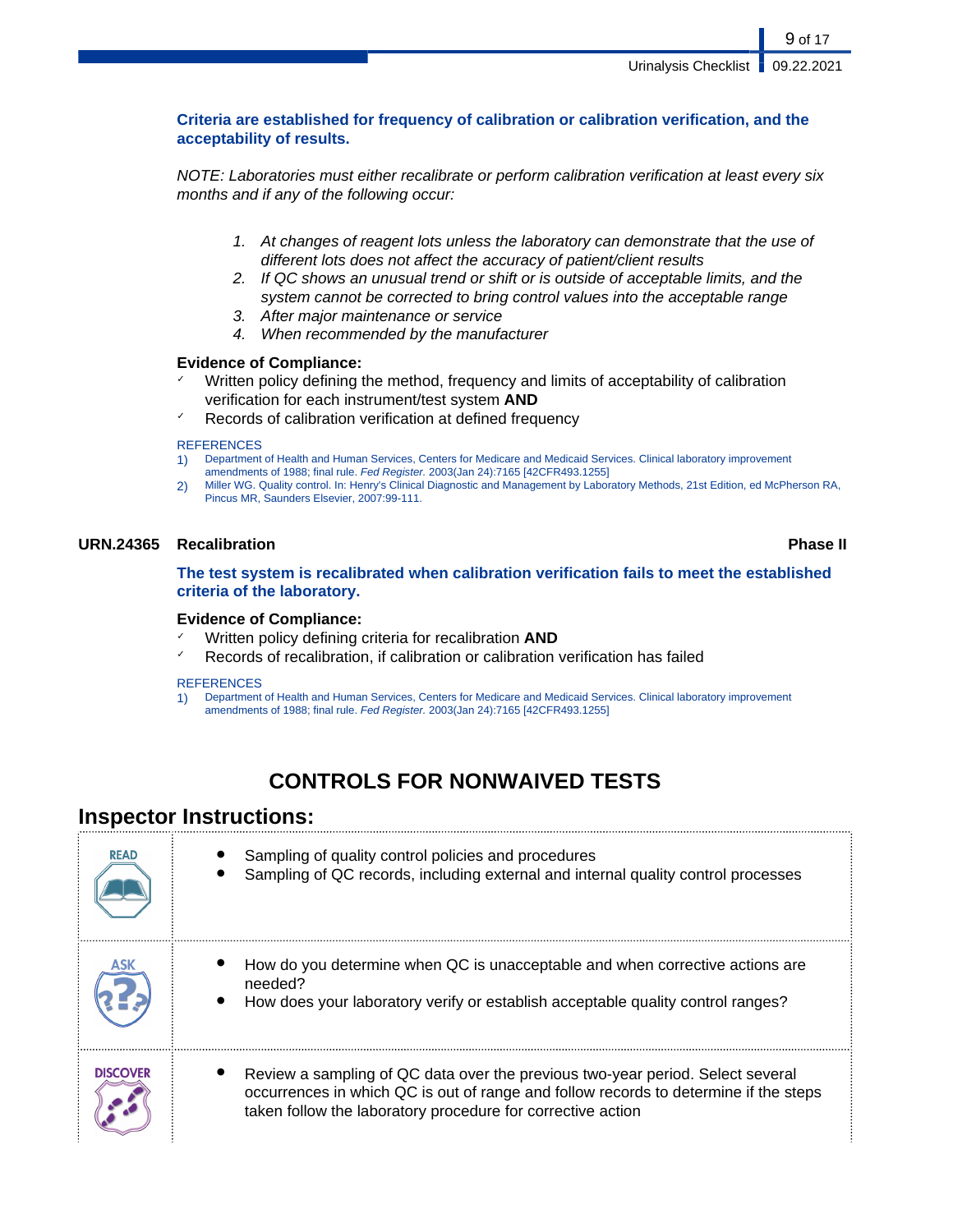9 of 17

### **Criteria are established for frequency of calibration or calibration verification, and the acceptability of results.**

NOTE: Laboratories must either recalibrate or perform calibration verification at least every six months and if any of the following occur:

- 1. At changes of reagent lots unless the laboratory can demonstrate that the use of different lots does not affect the accuracy of patient/client results
- 2. If QC shows an unusual trend or shift or is outside of acceptable limits, and the system cannot be corrected to bring control values into the acceptable range
- 3. After major maintenance or service
- 4. When recommended by the manufacturer

#### **Evidence of Compliance:**

- $\checkmark$  Written policy defining the method, frequency and limits of acceptability of calibration verification for each instrument/test system **AND**
- Records of calibration verification at defined frequency

#### **REFERENCES**

- 1) Department of Health and Human Services, Centers for Medicare and Medicaid Services. Clinical laboratory improvement amendments of 1988; final rule. Fed Register. 2003(Jan 24):7165 [42CFR493.1255]
- 2) Miller WG. Quality control. In: Henry's Clinical Diagnostic and Management by Laboratory Methods, 21st Edition, ed McPherson RA, Pincus MR, Saunders Elsevier, 2007:99-111.

#### **URN.24365 Recalibration Phase II**

**The test system is recalibrated when calibration verification fails to meet the established criteria of the laboratory.**

#### **Evidence of Compliance:**

- ✓ Written policy defining criteria for recalibration **AND**
- Records of recalibration, if calibration or calibration verification has failed

#### **REFERENCES**

1) Department of Health and Human Services, Centers for Medicare and Medicaid Services. Clinical laboratory improvement amendments of 1988; final rule. Fed Register. 2003(Jan 24):7165 [42CFR493.1255]

## **CONTROLS FOR NONWAIVED TESTS**

## **Inspector Instructions:**

| <b>READ</b>     | Sampling of quality control policies and procedures<br>Sampling of QC records, including external and internal quality control processes                                                                                              |
|-----------------|---------------------------------------------------------------------------------------------------------------------------------------------------------------------------------------------------------------------------------------|
|                 | How do you determine when QC is unacceptable and when corrective actions are<br>needed?<br>How does your laboratory verify or establish acceptable quality control ranges?                                                            |
| <b>DISCOVER</b> | Review a sampling of QC data over the previous two-year period. Select several<br>occurrences in which QC is out of range and follow records to determine if the steps<br>taken follow the laboratory procedure for corrective action |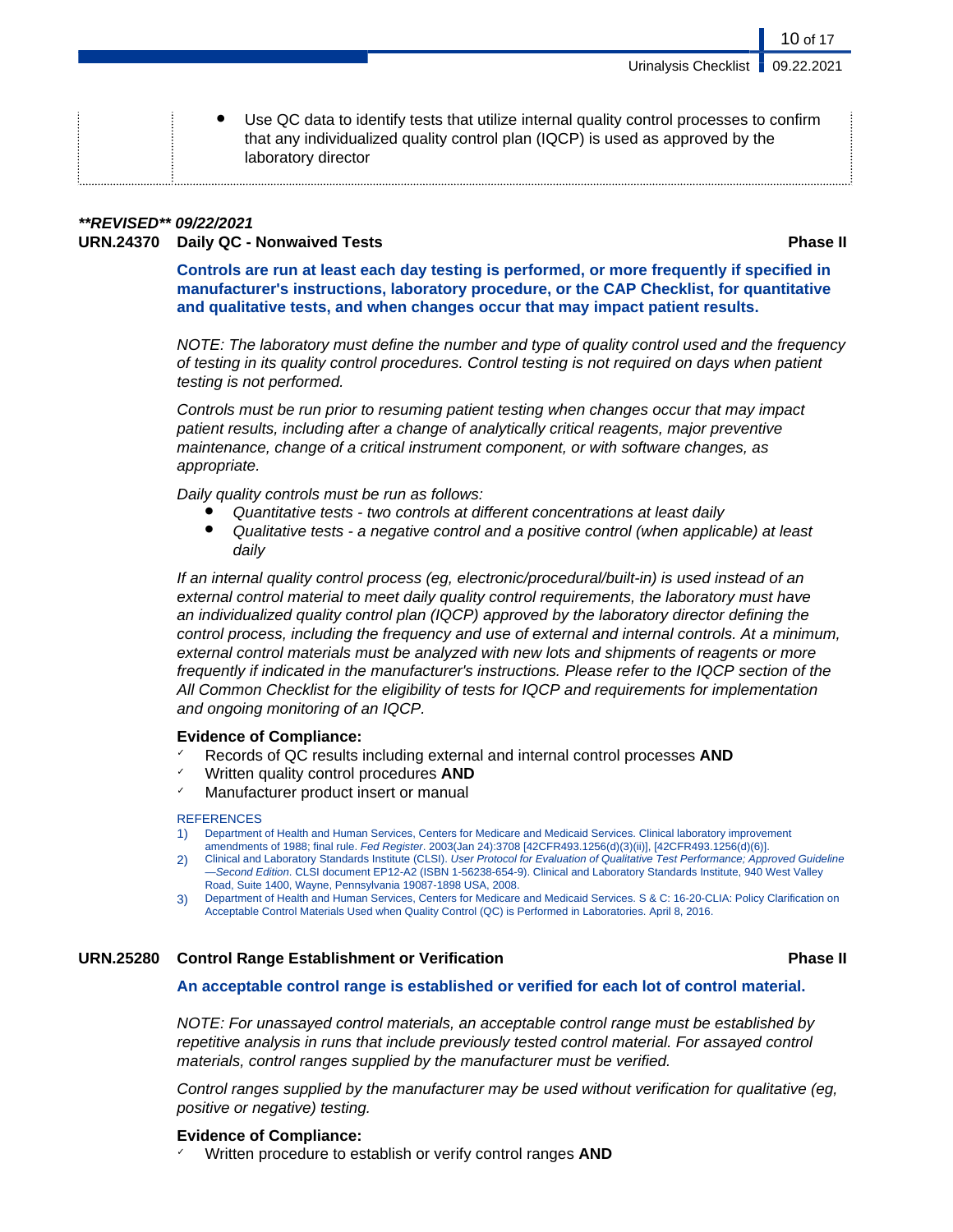Urinalysis Checklist | 09.22.2021

Use QC data to identify tests that utilize internal quality control processes to confirm that any individualized quality control plan (IQCP) is used as approved by the laboratory director

### **\*\*REVISED\*\* 09/22/2021 URN.24370 Daily QC - Nonwaived Tests Phase II**

10 of 17

**Controls are run at least each day testing is performed, or more frequently if specified in manufacturer's instructions, laboratory procedure, or the CAP Checklist, for quantitative and qualitative tests, and when changes occur that may impact patient results.**

NOTE: The laboratory must define the number and type of quality control used and the frequency of testing in its quality control procedures. Control testing is not required on days when patient testing is not performed.

Controls must be run prior to resuming patient testing when changes occur that may impact patient results, including after a change of analytically critical reagents, major preventive maintenance, change of a critical instrument component, or with software changes, as appropriate.

Daily quality controls must be run as follows:

- Quantitative tests two controls at different concentrations at least daily
- Qualitative tests a negative control and a positive control (when applicable) at least daily

If an internal quality control process (eg, electronic/procedural/built-in) is used instead of an external control material to meet daily quality control requirements, the laboratory must have an individualized quality control plan (IQCP) approved by the laboratory director defining the control process, including the frequency and use of external and internal controls. At a minimum, external control materials must be analyzed with new lots and shipments of reagents or more frequently if indicated in the manufacturer's instructions. Please refer to the IQCP section of the All Common Checklist for the eligibility of tests for IQCP and requirements for implementation and ongoing monitoring of an IQCP.

#### **Evidence of Compliance:**

- ✓ Records of QC results including external and internal control processes **AND**
- Written quality control procedures **AND**
- Manufacturer product insert or manual

#### **REFERENCES**

- 1) Department of Health and Human Services, Centers for Medicare and Medicaid Services. Clinical laboratory improvement amendments of 1988; final rule. Fed Register. 2003(Jan 24):3708 [42CFR493.1256(d)(3)(ii)], [42CFR493.1256(d)(6)].
- 2) Clinical and Laboratory Standards Institute (CLSI). User Protocol for Evaluation of Qualitative Test Performance; Approved Guideline —Second Edition. CLSI document EP12-A2 (ISBN 1-56238-654-9). Clinical and Laboratory Standards Institute, 940 West Valley Road, Suite 1400, Wayne, Pennsylvania 19087-1898 USA, 2008.
- 3) Department of Health and Human Services, Centers for Medicare and Medicaid Services. S & C: 16-20-CLIA: Policy Clarification on Acceptable Control Materials Used when Quality Control (QC) is Performed in Laboratories. April 8, 2016.

### **URN.25280 Control Range Establishment or Verification Phase II**

#### **An acceptable control range is established or verified for each lot of control material.**

NOTE: For unassayed control materials, an acceptable control range must be established by repetitive analysis in runs that include previously tested control material. For assayed control materials, control ranges supplied by the manufacturer must be verified.

Control ranges supplied by the manufacturer may be used without verification for qualitative (eg, positive or negative) testing.

#### **Evidence of Compliance:**

Written procedure to establish or verify control ranges **AND**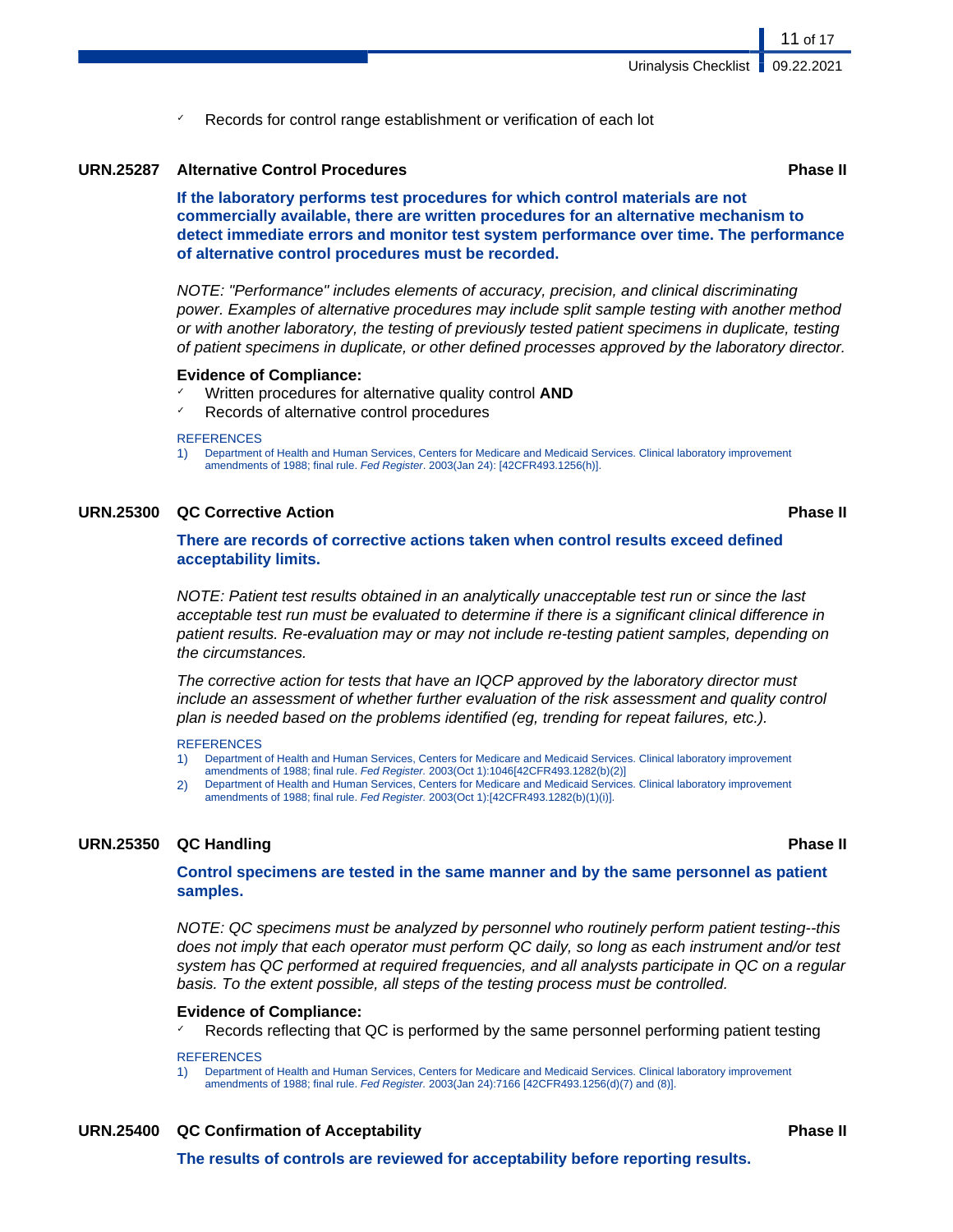11 of 17

Records for control range establishment or verification of each lot

#### **URN.25287 Alternative Control Procedures Phase II**

**If the laboratory performs test procedures for which control materials are not commercially available, there are written procedures for an alternative mechanism to detect immediate errors and monitor test system performance over time. The performance of alternative control procedures must be recorded.**

NOTE: "Performance" includes elements of accuracy, precision, and clinical discriminating power. Examples of alternative procedures may include split sample testing with another method or with another laboratory, the testing of previously tested patient specimens in duplicate, testing of patient specimens in duplicate, or other defined processes approved by the laboratory director.

#### **Evidence of Compliance:**

- ✓ Written procedures for alternative quality control **AND**
- Records of alternative control procedures

#### **REFERENCES**

1) Department of Health and Human Services, Centers for Medicare and Medicaid Services. Clinical laboratory improvement amendments of 1988; final rule. Fed Register. 2003(Jan 24): [42CFR493.1256(h)].

#### **URN.25300 QC Corrective Action Phase II**

### **There are records of corrective actions taken when control results exceed defined acceptability limits.**

NOTE: Patient test results obtained in an analytically unacceptable test run or since the last acceptable test run must be evaluated to determine if there is a significant clinical difference in patient results. Re-evaluation may or may not include re-testing patient samples, depending on the circumstances.

The corrective action for tests that have an IQCP approved by the laboratory director must include an assessment of whether further evaluation of the risk assessment and quality control plan is needed based on the problems identified (eg, trending for repeat failures, etc.).

#### **REFERENCES**

- 1) Department of Health and Human Services, Centers for Medicare and Medicaid Services. Clinical laboratory improvement amendments of 1988; final rule. Fed Register. 2003(Oct 1):1046[42CFR493.1282(b)(2)]
- 2) Department of Health and Human Services, Centers for Medicare and Medicaid Services. Clinical laboratory improvement amendments of 1988; final rule. Fed Register. 2003(Oct 1):[42CFR493.1282(b)(1)(i)].

#### **URN.25350 QC Handling Phase II**

### **Control specimens are tested in the same manner and by the same personnel as patient samples.**

NOTE: QC specimens must be analyzed by personnel who routinely perform patient testing--this does not imply that each operator must perform QC daily, so long as each instrument and/or test system has QC performed at required frequencies, and all analysts participate in QC on a regular basis. To the extent possible, all steps of the testing process must be controlled.

#### **Evidence of Compliance:**

 $\leq$  Records reflecting that QC is performed by the same personnel performing patient testing

#### **REFERENCES**

1) Department of Health and Human Services, Centers for Medicare and Medicaid Services. Clinical laboratory improvement amendments of 1988; final rule. Fed Register. 2003(Jan 24):7166 [42CFR493.1256(d)(7) and (8)].

**URN.25400 QC Confirmation of Acceptability Phase II**

**The results of controls are reviewed for acceptability before reporting results.**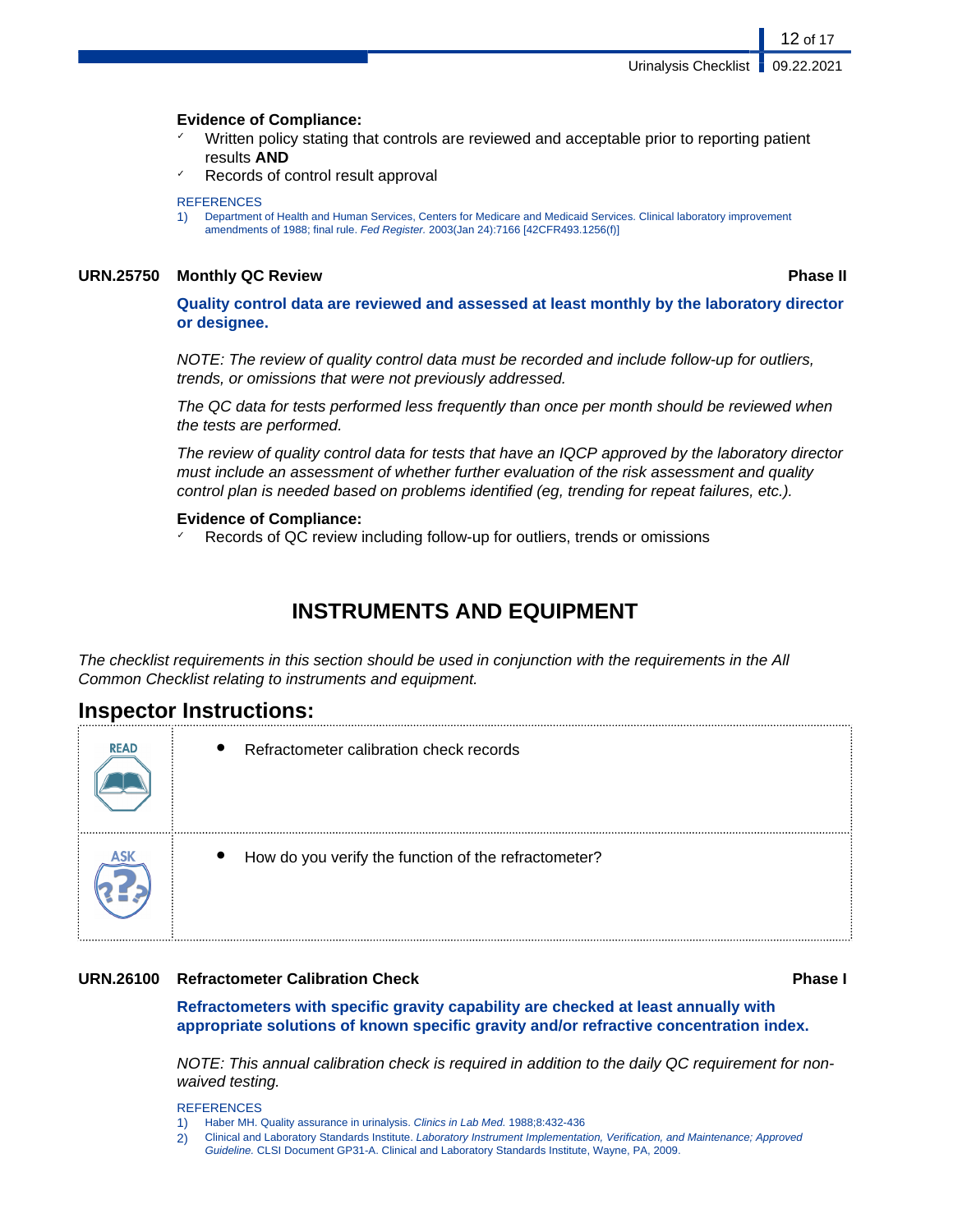#### **Evidence of Compliance:**

- Written policy stating that controls are reviewed and acceptable prior to reporting patient results **AND**
- Records of control result approval

#### **REFERENCES**

1) Department of Health and Human Services, Centers for Medicare and Medicaid Services. Clinical laboratory improvement amendments of 1988; final rule. Fed Register. 2003(Jan 24):7166 [42CFR493.1256(f)]

#### **URN.25750 Monthly QC Review Phase II**

12 of 17

**Quality control data are reviewed and assessed at least monthly by the laboratory director or designee.**

NOTE: The review of quality control data must be recorded and include follow-up for outliers, trends, or omissions that were not previously addressed.

The QC data for tests performed less frequently than once per month should be reviewed when the tests are performed.

The review of quality control data for tests that have an IQCP approved by the laboratory director must include an assessment of whether further evaluation of the risk assessment and quality control plan is needed based on problems identified (eg, trending for repeat failures, etc.).

#### **Evidence of Compliance:**

Records of QC review including follow-up for outliers, trends or omissions

## **INSTRUMENTS AND EQUIPMENT**

The checklist requirements in this section should be used in conjunction with the requirements in the All Common Checklist relating to instruments and equipment.

## **Inspector Instructions:**

| <b>READ</b> | $\bullet$<br>Refractometer calibration check records              |
|-------------|-------------------------------------------------------------------|
|             | How do you verify the function of the refractometer?<br>$\bullet$ |

#### **URN.26100 Refractometer Calibration Check Phase I**

**Refractometers with specific gravity capability are checked at least annually with appropriate solutions of known specific gravity and/or refractive concentration index.**

NOTE: This annual calibration check is required in addition to the daily QC requirement for nonwaived testing.

- 2) Clinical and Laboratory Standards Institute. Laboratory Instrument Implementation, Verification, and Maintenance; Approved
	- Guideline. CLSI Document GP31-A. Clinical and Laboratory Standards Institute, Wayne, PA, 2009.

<sup>1)</sup> Haber MH. Quality assurance in urinalysis. Clinics in Lab Med. 1988;8:432-436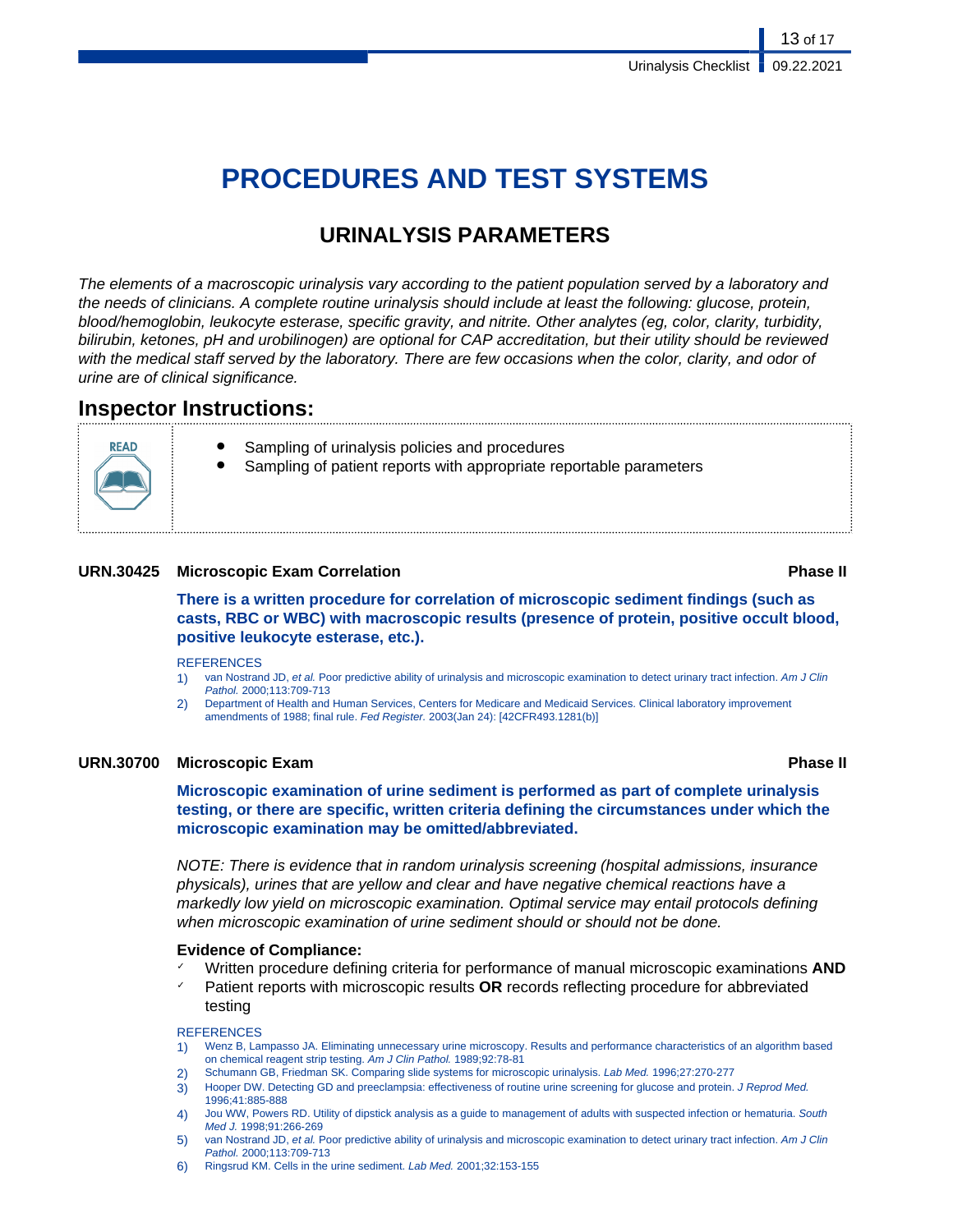# **PROCEDURES AND TEST SYSTEMS**

## **URINALYSIS PARAMETERS**

The elements of a macroscopic urinalysis vary according to the patient population served by a laboratory and the needs of clinicians. A complete routine urinalysis should include at least the following: glucose, protein, blood/hemoglobin, leukocyte esterase, specific gravity, and nitrite. Other analytes (eg, color, clarity, turbidity, bilirubin, ketones, pH and urobilinogen) are optional for CAP accreditation, but their utility should be reviewed with the medical staff served by the laboratory. There are few occasions when the color, clarity, and odor of urine are of clinical significance.

## **Inspector Instructions:**

- **READ**
- Sampling of urinalysis policies and procedures
- Sampling of patient reports with appropriate reportable parameters

### **URN.30425 Microscopic Exam Correlation Phase II**

**There is a written procedure for correlation of microscopic sediment findings (such as casts, RBC or WBC) with macroscopic results (presence of protein, positive occult blood, positive leukocyte esterase, etc.).**

#### **REFERENCES**

- 1) van Nostrand JD, et al. Poor predictive ability of urinalysis and microscopic examination to detect urinary tract infection. Am J Clin Pathol. 2000;113:709-713
- 2) Department of Health and Human Services, Centers for Medicare and Medicaid Services. Clinical laboratory improvement amendments of 1988; final rule. Fed Register. 2003(Jan 24): [42CFR493.1281(b)]

### **URN.30700 Microscopic Exam Phase II**

**Microscopic examination of urine sediment is performed as part of complete urinalysis testing, or there are specific, written criteria defining the circumstances under which the microscopic examination may be omitted/abbreviated.**

NOTE: There is evidence that in random urinalysis screening (hospital admissions, insurance physicals), urines that are yellow and clear and have negative chemical reactions have a markedly low yield on microscopic examination. Optimal service may entail protocols defining when microscopic examination of urine sediment should or should not be done.

#### **Evidence of Compliance:**

- ✓ Written procedure defining criteria for performance of manual microscopic examinations **AND**
- Patient reports with microscopic results **OR** records reflecting procedure for abbreviated testing

- 1) Wenz B, Lampasso JA. Eliminating unnecessary urine microscopy. Results and performance characteristics of an algorithm based on chemical reagent strip testing. Am J Clin Pathol. 1989;92:78-81
- 2) Schumann GB, Friedman SK. Comparing slide systems for microscopic urinalysis. Lab Med. 1996;27:270-277
- 3) Hooper DW. Detecting GD and preeclampsia: effectiveness of routine urine screening for glucose and protein. J Reprod Med. 1996;41:885-888
- 4) Jou WW, Powers RD. Utility of dipstick analysis as a guide to management of adults with suspected infection or hematuria. South Med J. 1998;91:266-269
- van Nostrand JD, et al. Poor predictive ability of urinalysis and microscopic examination to detect urinary tract infection. Am J Clin Pathol. 2000;113:709-713
- 6) Ringsrud KM. Cells in the urine sediment. Lab Med. 2001;32:153-155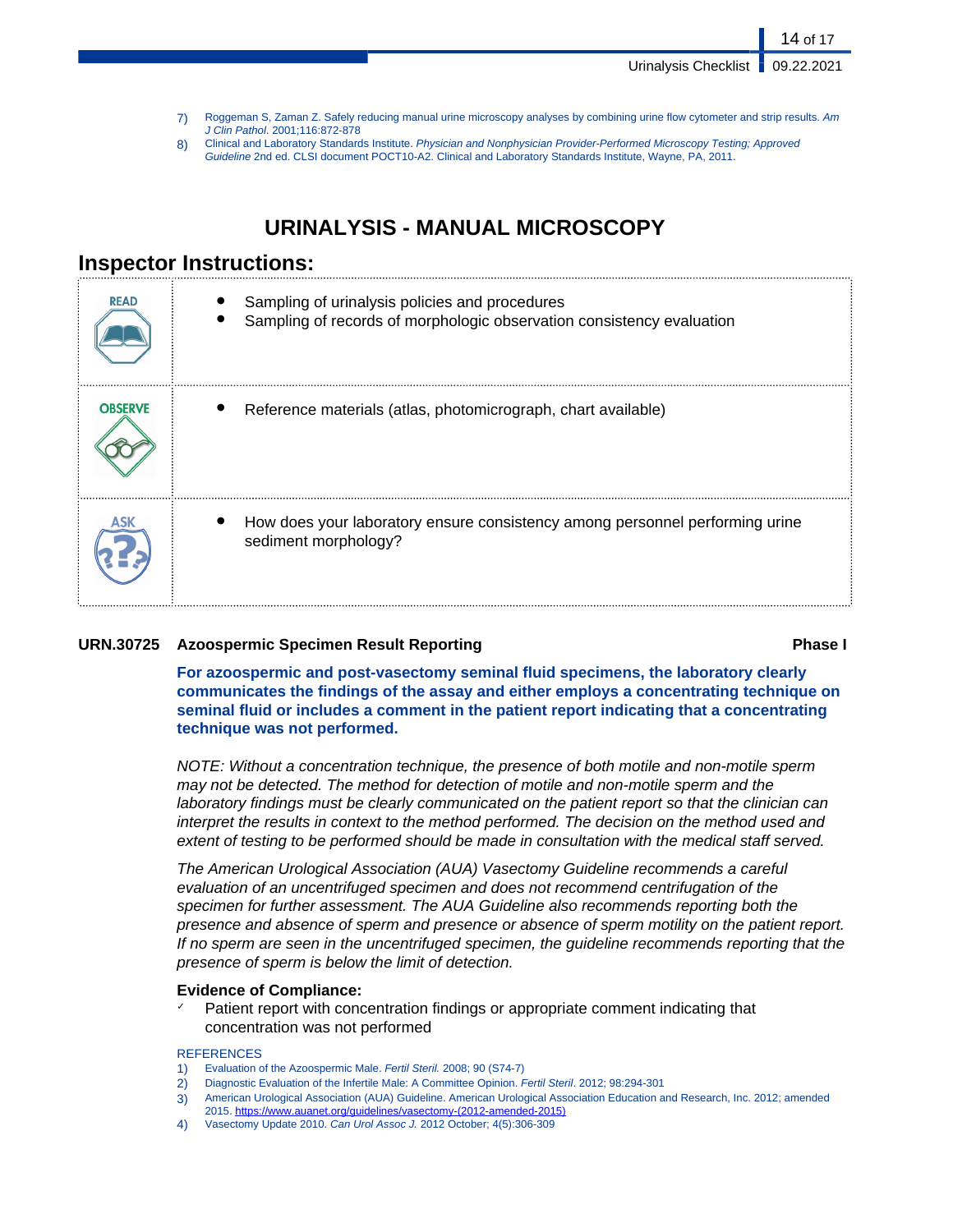Urinalysis Checklist | 09.22.2021

14 of 17

- 7) Roggeman S, Zaman Z. Safely reducing manual urine microscopy analyses by combining urine flow cytometer and strip results. Am J Clin Pathol. 2001;116:872-878
- 8) Clinical and Laboratory Standards Institute. Physician and Nonphysician Provider-Performed Microscopy Testing; Approved Guideline 2nd ed. CLSI document POCT10-A2. Clinical and Laboratory Standards Institute, Wayne, PA, 2011.

## **URINALYSIS - MANUAL MICROSCOPY**

## **Inspector Instructions:**

| <b>READ</b>    | Sampling of urinalysis policies and procedures<br>Sampling of records of morphologic observation consistency evaluation |
|----------------|-------------------------------------------------------------------------------------------------------------------------|
| <b>OBSERVE</b> | Reference materials (atlas, photomicrograph, chart available)                                                           |
|                | How does your laboratory ensure consistency among personnel performing urine<br>sediment morphology?                    |

### **URN.30725 Azoospermic Specimen Result Reporting Phase I**

**For azoospermic and post-vasectomy seminal fluid specimens, the laboratory clearly communicates the findings of the assay and either employs a concentrating technique on seminal fluid or includes a comment in the patient report indicating that a concentrating technique was not performed.**

NOTE: Without a concentration technique, the presence of both motile and non-motile sperm may not be detected. The method for detection of motile and non-motile sperm and the laboratory findings must be clearly communicated on the patient report so that the clinician can interpret the results in context to the method performed. The decision on the method used and extent of testing to be performed should be made in consultation with the medical staff served.

The American Urological Association (AUA) Vasectomy Guideline recommends a careful evaluation of an uncentrifuged specimen and does not recommend centrifugation of the specimen for further assessment. The AUA Guideline also recommends reporting both the presence and absence of sperm and presence or absence of sperm motility on the patient report. If no sperm are seen in the uncentrifuged specimen, the guideline recommends reporting that the presence of sperm is below the limit of detection.

#### **Evidence of Compliance:**

Patient report with concentration findings or appropriate comment indicating that concentration was not performed

- 1) Evaluation of the Azoospermic Male. Fertil Steril. 2008; 90 (S74-7)
- 2) Diagnostic Evaluation of the Infertile Male: A Committee Opinion. Fertil Steril. 2012; 98:294-301
- 3) American Urological Association (AUA) Guideline. American Urological Association Education and Research, Inc. 2012; amended
- 2015. [https://www.auanet.org/guidelines/vasectomy-\(2012-amended-2015\)](https://www.auanet.org/guidelines/vasectomy-(2012-amended-2015))
- 4) Vasectomy Update 2010. Can Urol Assoc J. 2012 October; 4(5):306-309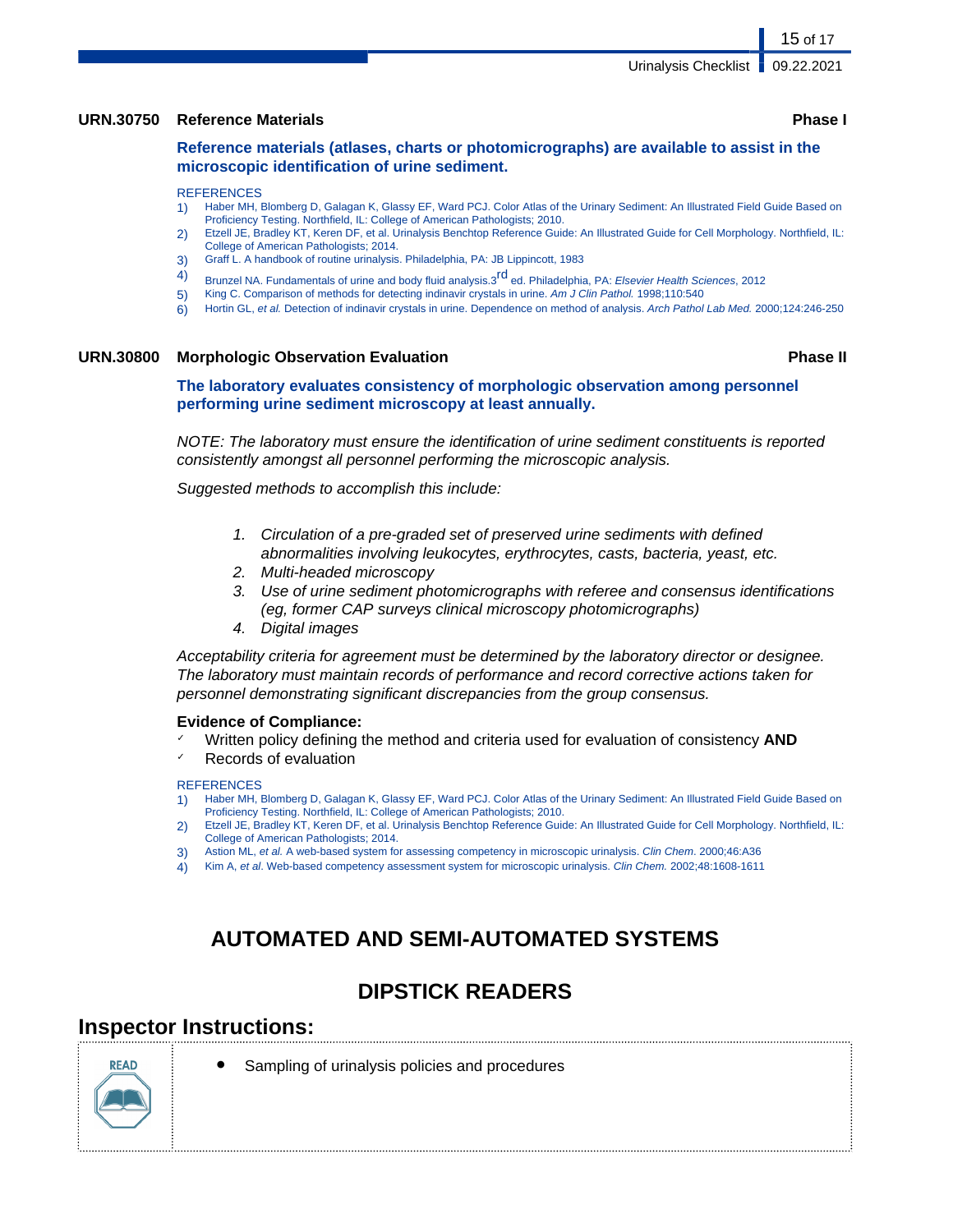#### **URN.30750 Reference Materials Phase I**

**Reference materials (atlases, charts or photomicrographs) are available to assist in the microscopic identification of urine sediment.**

#### **REFERENCES**

- 1) Haber MH, Blomberg D, Galagan K, Glassy EF, Ward PCJ. Color Atlas of the Urinary Sediment: An Illustrated Field Guide Based on Proficiency Testing. Northfield, IL: College of American Pathologists; 2010.
- 2) Etzell JE, Bradley KT, Keren DF, et al. Urinalysis Benchtop Reference Guide: An Illustrated Guide for Cell Morphology. Northfield, IL: College of American Pathologists; 2014.
- 3) Graff L. A handbook of routine urinalysis. Philadelphia, PA: JB Lippincott, 1983
- 4) Brunzel NA. Fundamentals of urine and body fluid analysis.3<sup>rd</sup> ed. Philadelphia, PA: Elsevier Health Sciences, 2012
- 5) King C. Comparison of methods for detecting indinavir crystals in urine. Am J Clin Pathol. 1998;110:540
- 6) Hortin GL, et al. Detection of indinavir crystals in urine. Dependence on method of analysis. Arch Pathol Lab Med. 2000;124:246-250

#### **URN.30800 Morphologic Observation Evaluation Phase II**

**The laboratory evaluates consistency of morphologic observation among personnel performing urine sediment microscopy at least annually.**

NOTE: The laboratory must ensure the identification of urine sediment constituents is reported consistently amongst all personnel performing the microscopic analysis.

Suggested methods to accomplish this include:

- 1. Circulation of a pre-graded set of preserved urine sediments with defined abnormalities involving leukocytes, erythrocytes, casts, bacteria, yeast, etc.
- 2. Multi-headed microscopy
- 3. Use of urine sediment photomicrographs with referee and consensus identifications (eg, former CAP surveys clinical microscopy photomicrographs)
- 4. Digital images

Acceptability criteria for agreement must be determined by the laboratory director or designee. The laboratory must maintain records of performance and record corrective actions taken for personnel demonstrating significant discrepancies from the group consensus.

#### **Evidence of Compliance:**

- Written policy defining the method and criteria used for evaluation of consistency **AND**
- Records of evaluation

#### **REFERENCES**

- 1) Haber MH, Blomberg D, Galagan K, Glassy EF, Ward PCJ. Color Atlas of the Urinary Sediment: An Illustrated Field Guide Based on Proficiency Testing. Northfield, IL: College of American Pathologists; 2010.
- 2) Etzell JE, Bradley KT, Keren DF, et al. Urinalysis Benchtop Reference Guide: An Illustrated Guide for Cell Morphology. Northfield, IL: College of American Pathologists; 2014.
- 3) Astion ML, et al. A web-based system for assessing competency in microscopic urinalysis. Clin Chem. 2000;46:A36
- 4) Kim A, et al. Web-based competency assessment system for microscopic urinalysis. Clin Chem. 2002;48:1608-1611

## **AUTOMATED AND SEMI-AUTOMATED SYSTEMS**

## **DIPSTICK READERS**

### **Inspector Instructions:**



Sampling of urinalysis policies and procedures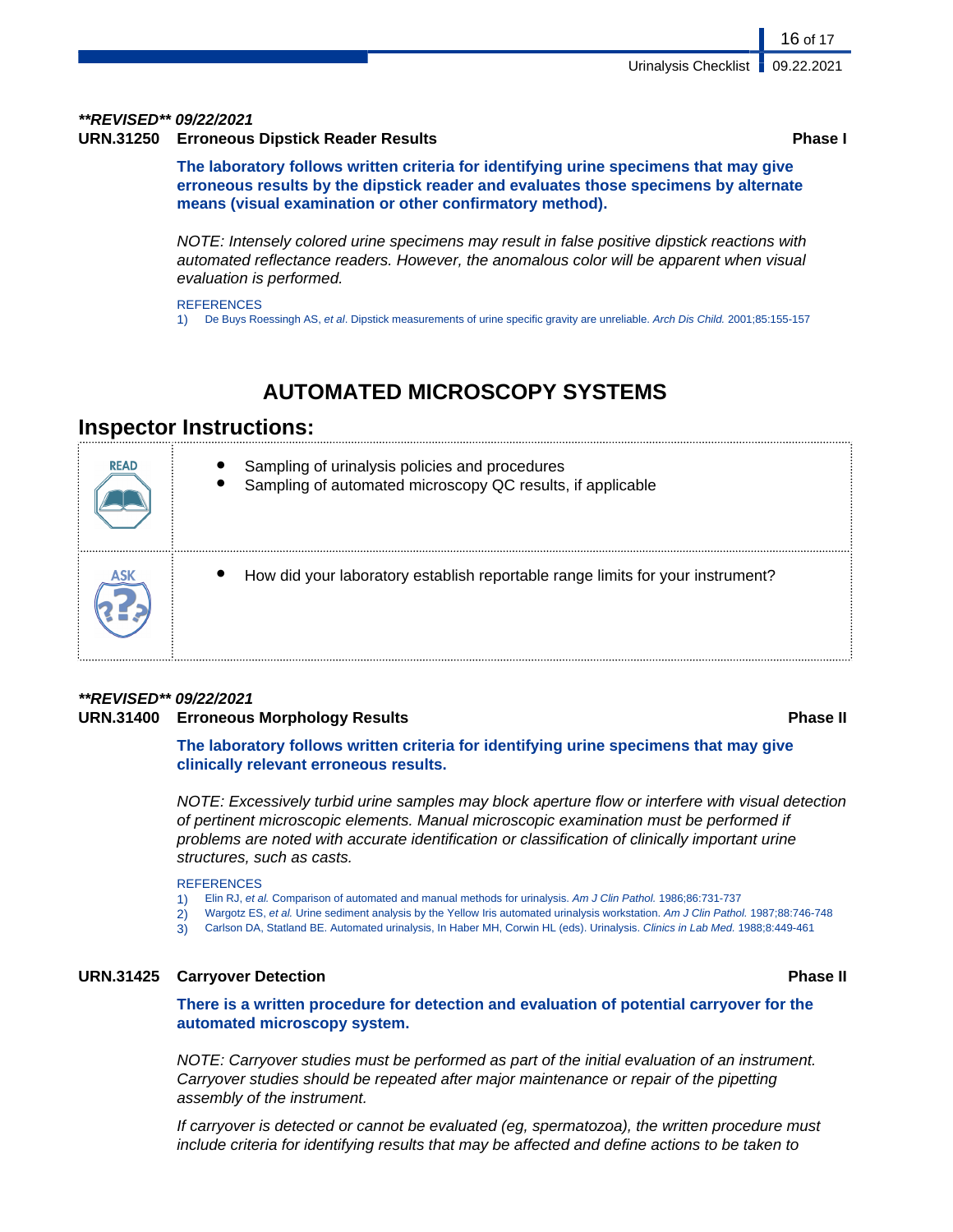#### **\*\*REVISED\*\* 09/22/2021**

**URN.31250 Erroneous Dipstick Reader Results Phase I**

16 of 17

**The laboratory follows written criteria for identifying urine specimens that may give erroneous results by the dipstick reader and evaluates those specimens by alternate means (visual examination or other confirmatory method).**

NOTE: Intensely colored urine specimens may result in false positive dipstick reactions with automated reflectance readers. However, the anomalous color will be apparent when visual evaluation is performed.

**REFERENCES** 

1) De Buys Roessingh AS, et al. Dipstick measurements of urine specific gravity are unreliable. Arch Dis Child. 2001;85:155-157

## **AUTOMATED MICROSCOPY SYSTEMS**

## **Inspector Instructions:**

| <b>READ</b> | Sampling of urinalysis policies and procedures<br>Sampling of automated microscopy QC results, if applicable |
|-------------|--------------------------------------------------------------------------------------------------------------|
|             | How did your laboratory establish reportable range limits for your instrument?                               |

### **\*\*REVISED\*\* 09/22/2021 URN.31400 Erroneous Morphology Results Phase II**

**The laboratory follows written criteria for identifying urine specimens that may give clinically relevant erroneous results.**

NOTE: Excessively turbid urine samples may block aperture flow or interfere with visual detection of pertinent microscopic elements. Manual microscopic examination must be performed if problems are noted with accurate identification or classification of clinically important urine structures, such as casts.

**REFERENCES** 

- 1) Elin RJ, et al. Comparison of automated and manual methods for urinalysis. Am J Clin Pathol. 1986;86:731-737
- 2) Wargotz ES, et al. Urine sediment analysis by the Yellow Iris automated urinalysis workstation. Am J Clin Pathol. 1987;88:746-748
- 3) Carlson DA, Statland BE. Automated urinalysis, In Haber MH, Corwin HL (eds). Urinalysis. Clinics in Lab Med. 1988;8:449-461

#### **URN.31425 Carryover Detection Phase II**

**There is a written procedure for detection and evaluation of potential carryover for the automated microscopy system.**

NOTE: Carryover studies must be performed as part of the initial evaluation of an instrument. Carryover studies should be repeated after major maintenance or repair of the pipetting assembly of the instrument.

If carryover is detected or cannot be evaluated (eg, spermatozoa), the written procedure must include criteria for identifying results that may be affected and define actions to be taken to